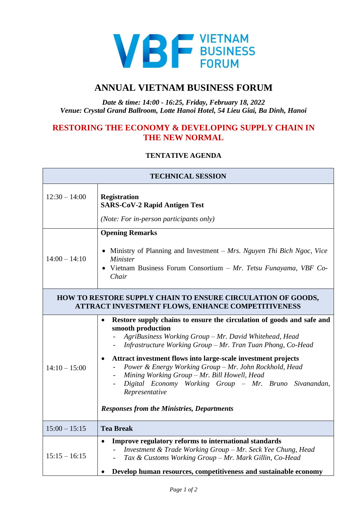

## **ANNUAL VIETNAM BUSINESS FORUM**

## *Date & time: 14:00 - 16:25, Friday, February 18, 2022 Venue: Crystal Grand Ballroom, Lotte Hanoi Hotel, 54 Lieu Giai, Ba Dinh, Hanoi*

## **RESTORING THE ECONOMY & DEVELOPING SUPPLY CHAIN IN THE NEW NORMAL**

## **TENTATIVE AGENDA**

| <b>TECHNICAL SESSION</b>                                                                                         |                                                                                                                                                                                                                                                                                                                                                                                                                                                                                                                                             |  |
|------------------------------------------------------------------------------------------------------------------|---------------------------------------------------------------------------------------------------------------------------------------------------------------------------------------------------------------------------------------------------------------------------------------------------------------------------------------------------------------------------------------------------------------------------------------------------------------------------------------------------------------------------------------------|--|
| $12:30 - 14:00$                                                                                                  | <b>Registration</b><br><b>SARS-CoV-2 Rapid Antigen Test</b>                                                                                                                                                                                                                                                                                                                                                                                                                                                                                 |  |
|                                                                                                                  | (Note: For in-person participants only)                                                                                                                                                                                                                                                                                                                                                                                                                                                                                                     |  |
| $14:00 - 14:10$                                                                                                  | <b>Opening Remarks</b><br>• Ministry of Planning and Investment – Mrs. Nguyen Thi Bich Ngoc, Vice<br><i>Minister</i><br>• Vietnam Business Forum Consortium - Mr. Tetsu Funayama, VBF Co-<br>Chair                                                                                                                                                                                                                                                                                                                                          |  |
| HOW TO RESTORE SUPPLY CHAIN TO ENSURE CIRCULATION OF GOODS,<br>ATTRACT INVESTMENT FLOWS, ENHANCE COMPETITIVENESS |                                                                                                                                                                                                                                                                                                                                                                                                                                                                                                                                             |  |
| $14:10 - 15:00$                                                                                                  | Restore supply chains to ensure the circulation of goods and safe and<br>$\bullet$<br>smooth production<br>AgriBusiness Working Group - Mr. David Whitehead, Head<br>Infrastructure Working Group - Mr. Tran Tuan Phong, Co-Head<br>Attract investment flows into large-scale investment projects<br>Power & Energy Working Group - Mr. John Rockhold, Head<br>Mining Working Group - Mr. Bill Howell, Head<br>Digital Economy Working Group - Mr. Bruno Sivanandan,<br>Representative<br><b>Responses from the Ministries, Departments</b> |  |
| $15:00 - 15:15$                                                                                                  | <b>Tea Break</b>                                                                                                                                                                                                                                                                                                                                                                                                                                                                                                                            |  |
| $15:15 - 16:15$                                                                                                  | Improve regulatory reforms to international standards<br>$\bullet$<br>Investment & Trade Working Group - Mr. Seck Yee Chung, Head<br>Tax & Customs Working Group - Mr. Mark Gillin, Co-Head<br>Develop human resources, competitiveness and sustainable economy                                                                                                                                                                                                                                                                             |  |